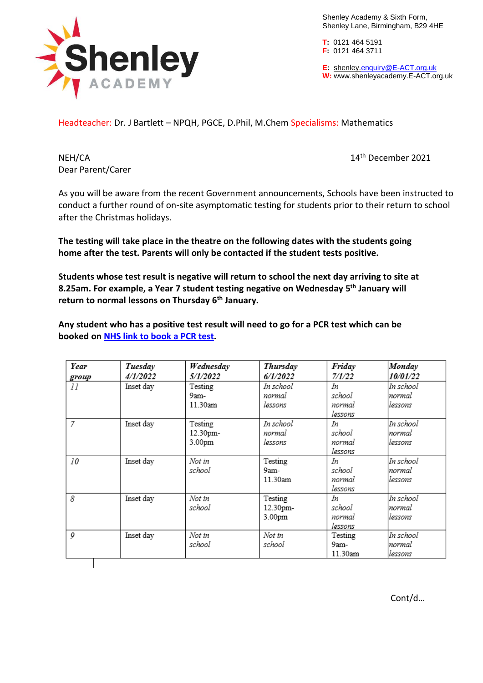

Shenley Academy & Sixth Form, Shenley Lane, Birmingham, B29 4HE

**T:** 0121 464 5191 **F:** 0121 464 3711

**E:** shenley[.enquiry@E-ACT.org.uk](mailto:enquiry@E-ACT.org.uk) **W:** www.shenleyacademy.E-ACT.org.uk

Headteacher: Dr. J Bartlett – NPQH, PGCE, D.Phil, M.Chem Specialisms: Mathematics

Dear Parent/Carer

NEH/CA 14<sup>th</sup> December 2021

As you will be aware from the recent Government announcements, Schools have been instructed to conduct a further round of on-site asymptomatic testing for students prior to their return to school after the Christmas holidays.

**The testing will take place in the theatre on the following dates with the students going home after the test. Parents will only be contacted if the student tests positive.**

**Students whose test result is negative will return to school the next day arriving to site at 8.25am. For example, a Year 7 student testing negative on Wednesday 5 th January will return to normal lessons on Thursday 6 th January.**

**Any student who has a positive test result will need to go for a PCR test which can be booked on NHS link to [book](https://www.nhs.uk/conditions/coronavirus-covid-19/testing/get-tested-for-coronavirus/) a PCR test.**

| Year  | Tuesday   | Wednesday              | Thursday  | Friday  | Monday    |
|-------|-----------|------------------------|-----------|---------|-----------|
| group | 4/1/2022  | <i><b>5/1/2022</b></i> | 6/1/2022  | 7/1/22  | 10/01/22  |
| 11    | Inset day | Testing                | In school | In      | In school |
|       |           | 9am-                   | normal    | school  | normal    |
|       |           | 11.30am                | lessons   | normal  | lessons   |
|       |           |                        |           | lessons |           |
| 7     | Inset day | Testing                | In school | In      | In school |
|       |           | 12.30pm-               | normal    | school  | normal    |
|       |           | 3.00pm                 | lessons   | normal  | lessons   |
|       |           |                        |           | lessons |           |
| 10    | Inset day | Not in                 | Testing   | Iп      | In school |
|       |           | school                 | 9am-      | school  | normal    |
|       |           |                        | 11.30am   | normal  | lessons   |
|       |           |                        |           | lessons |           |
| 8     | Inset day | Not in                 | Testing   | In      | In school |
|       |           | school                 | 12.30pm-  | school  | normal    |
|       |           |                        | 3.00pm    | normal  | lessons   |
|       |           |                        |           | lessons |           |
| 0     | Inset day | Not in                 | Not in    | Testing | In school |
|       |           | school                 | school    | 9am-    | Inormal   |
|       |           |                        |           | 11.30am | lessons   |

Cont/d…